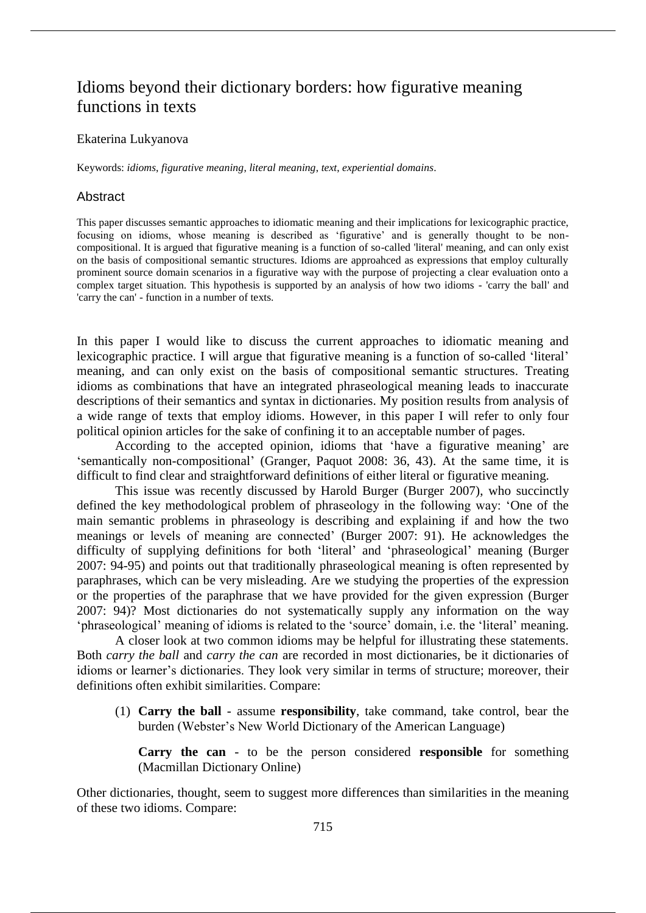# Idioms beyond their dictionary borders: how figurative meaning functions in texts

## Ekaterina Lukyanova

Keywords: *idioms*, *figurative meaning*, *literal meaning*, *text*, *experiential domains*.

## **Abstract**

This paper discusses semantic approaches to idiomatic meaning and their implications for lexicographic practice, focusing on idioms, whose meaning is described as 'figurative' and is generally thought to be noncompositional. It is argued that figurative meaning is a function of so-called 'literal' meaning, and can only exist on the basis of compositional semantic structures. Idioms are approahced as expressions that employ culturally prominent source domain scenarios in a figurative way with the purpose of projecting a clear evaluation onto a complex target situation. This hypothesis is supported by an analysis of how two idioms - 'carry the ball' and 'carry the can' - function in a number of texts.

In this paper I would like to discuss the current approaches to idiomatic meaning and lexicographic practice. I will argue that figurative meaning is a function of so-called 'literal' meaning, and can only exist on the basis of compositional semantic structures. Treating idioms as combinations that have an integrated phraseological meaning leads to inaccurate descriptions of their semantics and syntax in dictionaries. My position results from analysis of a wide range of texts that employ idioms. However, in this paper I will refer to only four political opinion articles for the sake of confining it to an acceptable number of pages.

According to the accepted opinion, idioms that 'have a figurative meaning' are 'semantically non-compositional' (Granger, Paquot 2008: 36, 43). At the same time, it is difficult to find clear and straightforward definitions of either literal or figurative meaning.

This issue was recently discussed by Harold Burger (Burger 2007), who succinctly defined the key methodological problem of phraseology in the following way: 'One of the main semantic problems in phraseology is describing and explaining if and how the two meanings or levels of meaning are connected' (Burger 2007: 91). He acknowledges the difficulty of supplying definitions for both 'literal' and 'phraseological' meaning (Burger 2007: 94-95) and points out that traditionally phraseological meaning is often represented by paraphrases, which can be very misleading. Are we studying the properties of the expression or the properties of the paraphrase that we have provided for the given expression (Burger 2007: 94)? Most dictionaries do not systematically supply any information on the way 'phraseological' meaning of idioms is related to the 'source' domain, i.e. the 'literal' meaning.

A closer look at two common idioms may be helpful for illustrating these statements. Both *carry the ball* and *carry the can* are recorded in most dictionaries, be it dictionaries of idioms or learner's dictionaries. They look very similar in terms of structure; moreover, their definitions often exhibit similarities. Compare:

(1) **Carry the ball** - assume **responsibility**, take command, take control, bear the burden (Webster's New World Dictionary of the American Language)

**Carry the can** - to be the person considered **responsible** for something (Macmillan Dictionary Online)

Other dictionaries, thought, seem to suggest more differences than similarities in the meaning of these two idioms. Compare: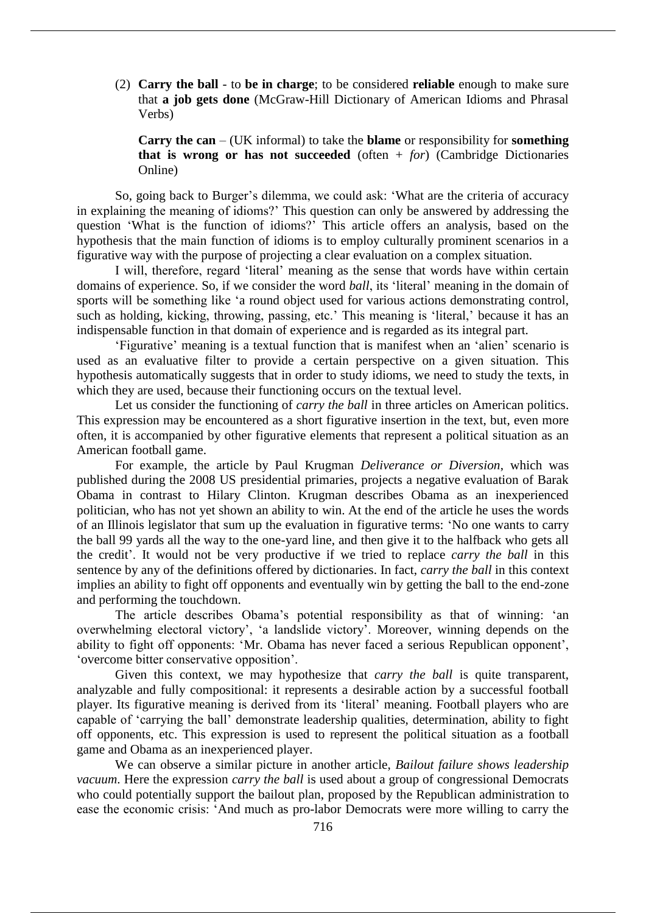(2) **Carry the ball** - to **be in charge**; to be considered **reliable** enough to make sure that **a job gets done** (McGraw-Hill Dictionary of American Idioms and Phrasal Verbs)

**Carry the can** – (UK informal) to take the **blame** or responsibility for **something that is wrong or has not succeeded** (often + *for*) (Cambridge Dictionaries Online)

So, going back to Burger's dilemma, we could ask: 'What are the criteria of accuracy in explaining the meaning of idioms?' This question can only be answered by addressing the question 'What is the function of idioms?' This article offers an analysis, based on the hypothesis that the main function of idioms is to employ culturally prominent scenarios in a figurative way with the purpose of projecting a clear evaluation on a complex situation.

I will, therefore, regard 'literal' meaning as the sense that words have within certain domains of experience. So, if we consider the word *ball*, its 'literal' meaning in the domain of sports will be something like 'a round object used for various actions demonstrating control, such as holding, kicking, throwing, passing, etc.' This meaning is 'literal,' because it has an indispensable function in that domain of experience and is regarded as its integral part.

'Figurative' meaning is a textual function that is manifest when an 'alien' scenario is used as an evaluative filter to provide a certain perspective on a given situation. This hypothesis automatically suggests that in order to study idioms, we need to study the texts, in which they are used, because their functioning occurs on the textual level.

Let us consider the functioning of *carry the ball* in three articles on American politics. This expression may be encountered as a short figurative insertion in the text, but, even more often, it is accompanied by other figurative elements that represent a political situation as an American football game.

For example, the article by Paul Krugman *Deliverance or Diversion*, which was published during the 2008 US presidential primaries, projects a negative evaluation of Barak Obama in contrast to Hilary Clinton. Krugman describes Obama as an inexperienced politician, who has not yet shown an ability to win. At the end of the article he uses the words of an Illinois legislator that sum up the evaluation in figurative terms: 'No one wants to carry the ball 99 yards all the way to the one-yard line, and then give it to the halfback who gets all the credit'. It would not be very productive if we tried to replace *carry the ball* in this sentence by any of the definitions offered by dictionaries. In fact, *carry the ball* in this context implies an ability to fight off opponents and eventually win by getting the ball to the end-zone and performing the touchdown.

The article describes Obama's potential responsibility as that of winning: 'an overwhelming electoral victory', 'a landslide victory'. Moreover, winning depends on the ability to fight off opponents: 'Mr. Obama has never faced a serious Republican opponent', 'overcome bitter conservative opposition'.

Given this context, we may hypothesize that *carry the ball* is quite transparent, analyzable and fully compositional: it represents a desirable action by a successful football player. Its figurative meaning is derived from its 'literal' meaning. Football players who are capable of 'carrying the ball' demonstrate leadership qualities, determination, ability to fight off opponents, etc. This expression is used to represent the political situation as a football game and Obama as an inexperienced player.

We can observe a similar picture in another article, *Bailout failure shows leadership vacuum*. Here the expression *carry the ball* is used about a group of congressional Democrats who could potentially support the bailout plan, proposed by the Republican administration to ease the economic crisis: 'And much as pro-labor Democrats were more willing to carry the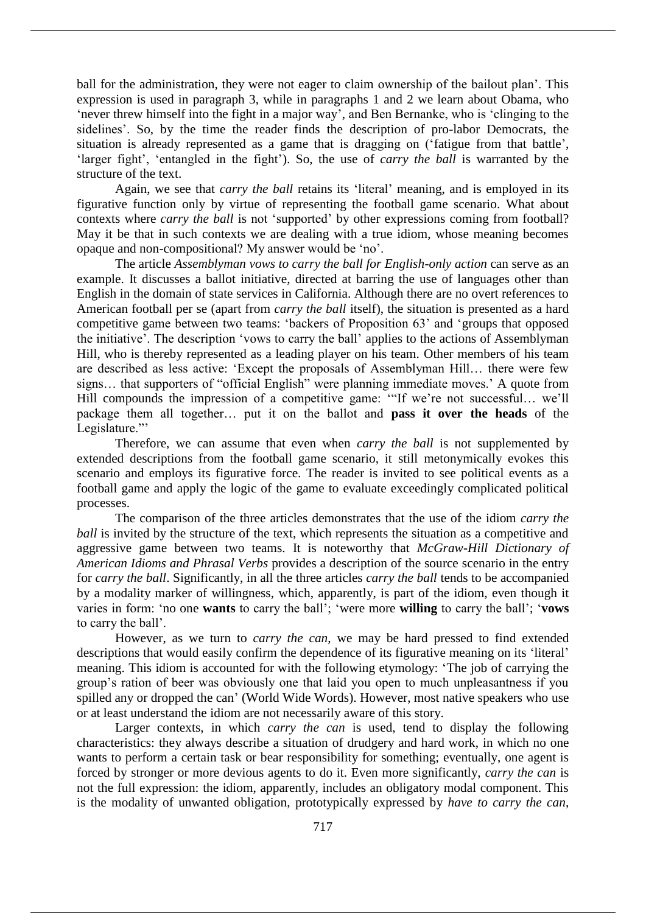ball for the administration, they were not eager to claim ownership of the bailout plan'. This expression is used in paragraph 3, while in paragraphs 1 and 2 we learn about Obama, who 'never threw himself into the fight in a major way', and Ben Bernanke, who is 'clinging to the sidelines'. So, by the time the reader finds the description of pro-labor Democrats, the situation is already represented as a game that is dragging on ('fatigue from that battle', 'larger fight', 'entangled in the fight'). So, the use of *carry the ball* is warranted by the structure of the text.

Again, we see that *carry the ball* retains its 'literal' meaning, and is employed in its figurative function only by virtue of representing the football game scenario. What about contexts where *carry the ball* is not 'supported' by other expressions coming from football? May it be that in such contexts we are dealing with a true idiom, whose meaning becomes opaque and non-compositional? My answer would be 'no'.

The article *Assemblyman vows to carry the ball for English-only action* can serve as an example. It discusses a ballot initiative, directed at barring the use of languages other than English in the domain of state services in California. Although there are no overt references to American football per se (apart from *carry the ball* itself), the situation is presented as a hard competitive game between two teams: 'backers of Proposition 63' and 'groups that opposed the initiative'. The description 'vows to carry the ball' applies to the actions of Assemblyman Hill, who is thereby represented as a leading player on his team. Other members of his team are described as less active: 'Except the proposals of Assemblyman Hill… there were few signs… that supporters of "official English" were planning immediate moves.' A quote from Hill compounds the impression of a competitive game: '"If we're not successful… we'll package them all together… put it on the ballot and **pass it over the heads** of the Legislature."'

Therefore, we can assume that even when *carry the ball* is not supplemented by extended descriptions from the football game scenario, it still metonymically evokes this scenario and employs its figurative force. The reader is invited to see political events as a football game and apply the logic of the game to evaluate exceedingly complicated political processes.

The comparison of the three articles demonstrates that the use of the idiom *carry the ball* is invited by the structure of the text, which represents the situation as a competitive and aggressive game between two teams. It is noteworthy that *McGraw-Hill Dictionary of American Idioms and Phrasal Verbs* provides a description of the source scenario in the entry for *carry the ball*. Significantly, in all the three articles *carry the ball* tends to be accompanied by a modality marker of willingness, which, apparently, is part of the idiom, even though it varies in form: 'no one **wants** to carry the ball'; 'were more **willing** to carry the ball'; '**vows** to carry the ball'.

However, as we turn to *carry the can*, we may be hard pressed to find extended descriptions that would easily confirm the dependence of its figurative meaning on its 'literal' meaning. This idiom is accounted for with the following etymology: 'The job of carrying the group's ration of beer was obviously one that laid you open to much unpleasantness if you spilled any or dropped the can' (World Wide Words). However, most native speakers who use or at least understand the idiom are not necessarily aware of this story.

Larger contexts, in which *carry the can* is used, tend to display the following characteristics: they always describe a situation of drudgery and hard work, in which no one wants to perform a certain task or bear responsibility for something; eventually, one agent is forced by stronger or more devious agents to do it. Even more significantly, *carry the can* is not the full expression: the idiom, apparently, includes an obligatory modal component. This is the modality of unwanted obligation, prototypically expressed by *have to carry the can*,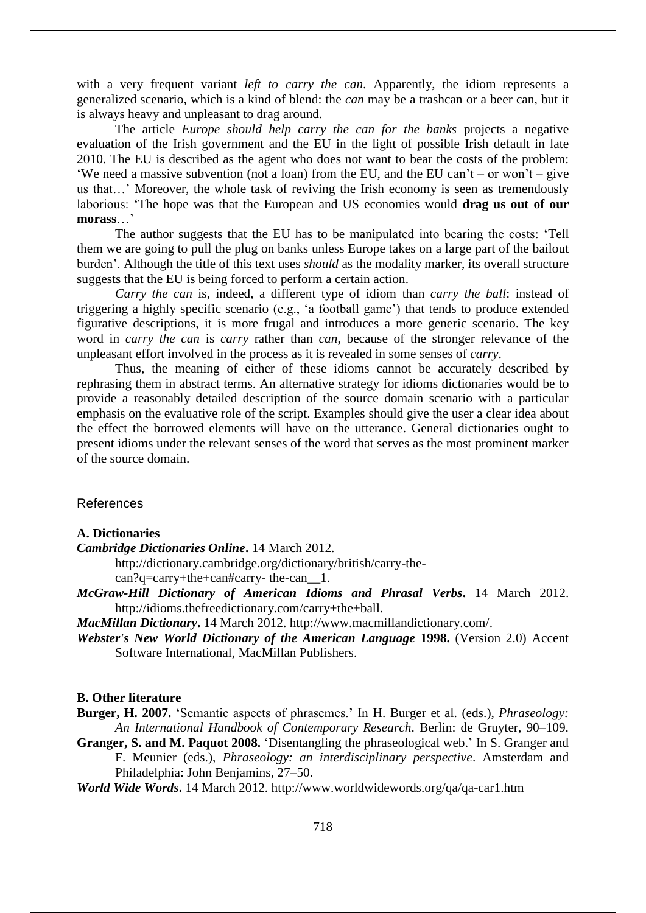with a very frequent variant *left to carry the can*. Apparently, the idiom represents a generalized scenario, which is a kind of blend: the *can* may be a trashcan or a beer can, but it is always heavy and unpleasant to drag around.

The article *Europe should help carry the can for the banks* projects a negative evaluation of the Irish government and the EU in the light of possible Irish default in late 2010. The EU is described as the agent who does not want to bear the costs of the problem: 'We need a massive subvention (not a loan) from the EU, and the EU can't – or won't – give us that…' Moreover, the whole task of reviving the Irish economy is seen as tremendously laborious: 'The hope was that the European and US economies would **drag us out of our morass**…'

The author suggests that the EU has to be manipulated into bearing the costs: 'Tell them we are going to pull the plug on banks unless Europe takes on a large part of the bailout burden'. Although the title of this text uses *should* as the modality marker, its overall structure suggests that the EU is being forced to perform a certain action.

*Carry the can* is, indeed, a different type of idiom than *carry the ball*: instead of triggering a highly specific scenario (e.g., 'a football game') that tends to produce extended figurative descriptions, it is more frugal and introduces a more generic scenario. The key word in *carry the can* is *carry* rather than *can*, because of the stronger relevance of the unpleasant effort involved in the process as it is revealed in some senses of *carry*.

Thus, the meaning of either of these idioms cannot be accurately described by rephrasing them in abstract terms. An alternative strategy for idioms dictionaries would be to provide a reasonably detailed description of the source domain scenario with a particular emphasis on the evaluative role of the script. Examples should give the user a clear idea about the effect the borrowed elements will have on the utterance. General dictionaries ought to present idioms under the relevant senses of the word that serves as the most prominent marker of the source domain.

# References

## **A. Dictionaries**

- *Cambridge Dictionaries Online***.** 14 March 2012.
	- http://dictionary.cambridge.org/dictionary/british/carry-thecan?q=carry+the+can#carry- the-can\_\_1.
- *McGraw-Hill Dictionary of American Idioms and Phrasal Verbs***.** 14 March 2012. http://idioms.thefreedictionary.com/carry+the+ball.

*MacMillan Dictionary***.** 14 March 2012. http://www.macmillandictionary.com/.

*Webster's New World Dictionary of the American Language* **1998.** (Version 2.0) Accent Software International, MacMillan Publishers.

### **B. Other literature**

- **Burger, H. 2007.** 'Semantic aspects of phrasemes.' In H. Burger et al. (eds.), *Phraseology: An International Handbook of Contemporary Research*. Berlin: de Gruyter, 90–109.
- **Granger, S. and M. Paquot 2008.** 'Disentangling the phraseological web.' In S. Granger and F. Meunier (eds.), *Phraseology: an interdisciplinary perspective*. Amsterdam and Philadelphia: John Benjamins, 27–50.
- *World Wide Words***.** 14 March 2012. http://www.worldwidewords.org/qa/qa-car1.htm